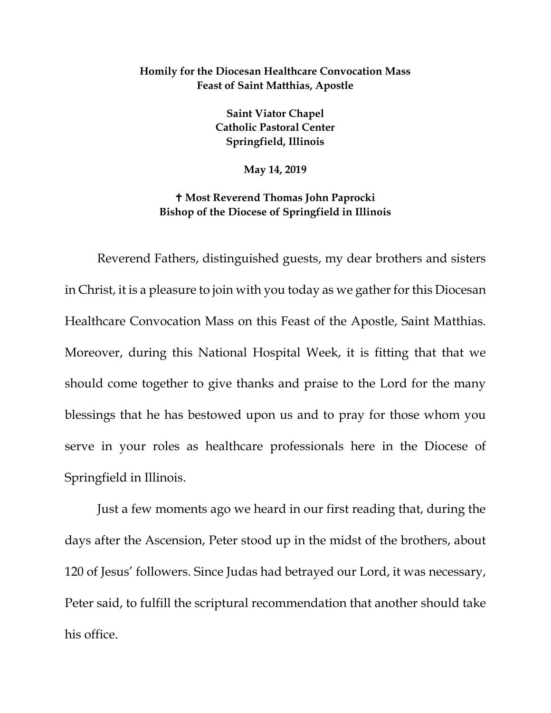## **Homily for the Diocesan Healthcare Convocation Mass Feast of Saint Matthias, Apostle**

**Saint Viator Chapel Catholic Pastoral Center Springfield, Illinois** 

**May 14, 2019**

## **Most Reverend Thomas John Paprocki Bishop of the Diocese of Springfield in Illinois**

Reverend Fathers, distinguished guests, my dear brothers and sisters in Christ, it is a pleasure to join with you today as we gather for this Diocesan Healthcare Convocation Mass on this Feast of the Apostle, Saint Matthias. Moreover, during this National Hospital Week, it is fitting that that we should come together to give thanks and praise to the Lord for the many blessings that he has bestowed upon us and to pray for those whom you serve in your roles as healthcare professionals here in the Diocese of Springfield in Illinois.

Just a few moments ago we heard in our first reading that, during the days after the Ascension, Peter stood up in the midst of the brothers, about 120 of Jesus' followers. Since Judas had betrayed our Lord, it was necessary, Peter said, to fulfill the scriptural recommendation that another should take his office.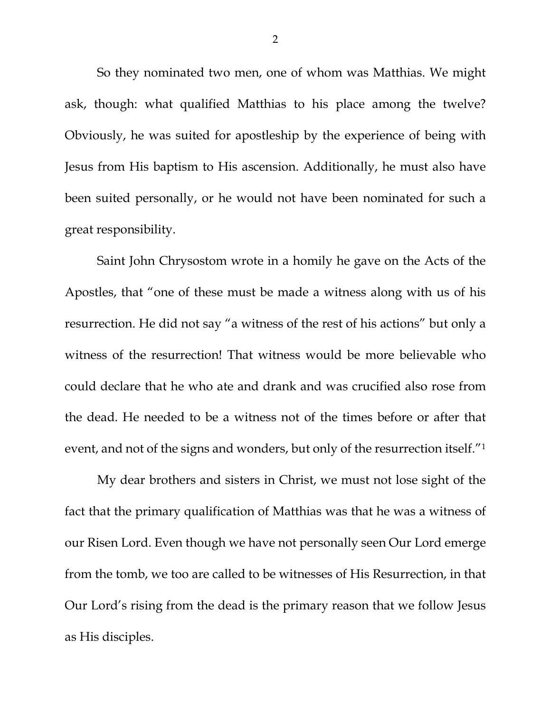So they nominated two men, one of whom was Matthias. We might ask, though: what qualified Matthias to his place among the twelve? Obviously, he was suited for apostleship by the experience of being with Jesus from His baptism to His ascension. Additionally, he must also have been suited personally, or he would not have been nominated for such a great responsibility.

Saint John Chrysostom wrote in a homily he gave on the Acts of the Apostles, that "one of these must be made a witness along with us of his resurrection. He did not say "a witness of the rest of his actions" but only a witness of the resurrection! That witness would be more believable who could declare that he who ate and drank and was crucified also rose from the dead. He needed to be a witness not of the times before or after that event, and not of the signs and wonders, but only of the resurrection itself.["1](#page-2-0)

My dear brothers and sisters in Christ, we must not lose sight of the fact that the primary qualification of Matthias was that he was a witness of our Risen Lord. Even though we have not personally seen Our Lord emerge from the tomb, we too are called to be witnesses of His Resurrection, in that Our Lord's rising from the dead is the primary reason that we follow Jesus as His disciples.